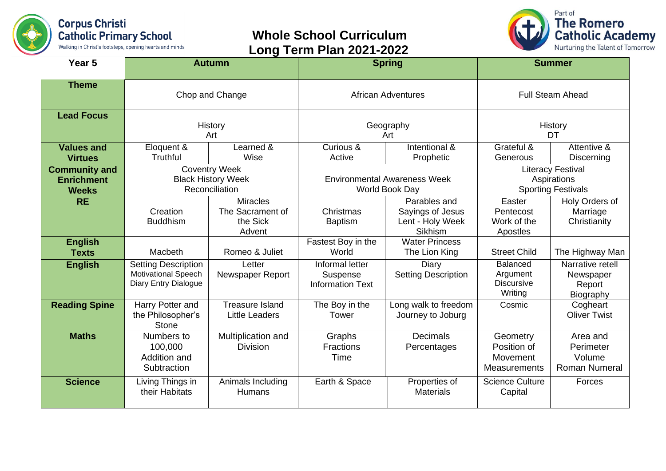

## **Whole School Curriculum Long Term Plan 2021-2022**



| Year 5                                                    |                                                                                  | <b>Autumn</b>                                             |                                                        | <b>Spring</b>                                                          |                                                                      | <b>Summer</b>                                           |
|-----------------------------------------------------------|----------------------------------------------------------------------------------|-----------------------------------------------------------|--------------------------------------------------------|------------------------------------------------------------------------|----------------------------------------------------------------------|---------------------------------------------------------|
| <b>Theme</b>                                              | Chop and Change                                                                  |                                                           | <b>African Adventures</b>                              |                                                                        | <b>Full Steam Ahead</b>                                              |                                                         |
| <b>Lead Focus</b>                                         | History<br>Art                                                                   |                                                           | Geography<br>Art                                       |                                                                        | History<br>DT                                                        |                                                         |
| <b>Values and</b><br><b>Virtues</b>                       | Eloquent &<br>Truthful                                                           | Learned &<br>Wise                                         | Curious &<br>Active                                    | Intentional &<br>Prophetic                                             | Grateful &<br>Generous                                               | Attentive &<br><b>Discerning</b>                        |
| <b>Community and</b><br><b>Enrichment</b><br><b>Weeks</b> | <b>Coventry Week</b><br><b>Black History Week</b><br>Reconciliation              |                                                           | <b>Environmental Awareness Week</b><br>World Book Day  |                                                                        | <b>Literacy Festival</b><br>Aspirations<br><b>Sporting Festivals</b> |                                                         |
| <b>RE</b>                                                 | Creation<br><b>Buddhism</b>                                                      | <b>Miracles</b><br>The Sacrament of<br>the Sick<br>Advent | Christmas<br><b>Baptism</b>                            | Parables and<br>Sayings of Jesus<br>Lent - Holy Week<br><b>Sikhism</b> | Easter<br>Pentecost<br>Work of the<br>Apostles                       | Holy Orders of<br>Marriage<br>Christianity              |
| <b>English</b><br><b>Texts</b>                            | Macbeth                                                                          | Romeo & Juliet                                            | Fastest Boy in the<br>World                            | <b>Water Princess</b><br>The Lion King                                 | <b>Street Child</b>                                                  | The Highway Man                                         |
| <b>English</b>                                            | <b>Setting Description</b><br><b>Motivational Speech</b><br>Diary Entry Dialogue | Letter<br>Newspaper Report                                | Informal letter<br>Suspense<br><b>Information Text</b> | Diary<br><b>Setting Description</b>                                    | <b>Balanced</b><br>Argument<br><b>Discursive</b><br>Writing          | Narrative retell<br>Newspaper<br>Report<br>Biography    |
| <b>Reading Spine</b>                                      | Harry Potter and<br>the Philosopher's<br><b>Stone</b>                            | <b>Treasure Island</b><br><b>Little Leaders</b>           | The Boy in the<br>Tower                                | Long walk to freedom<br>Journey to Joburg                              | Cosmic                                                               | Cogheart<br><b>Oliver Twist</b>                         |
| <b>Maths</b>                                              | Numbers to<br>100,000<br>Addition and<br>Subtraction                             | Multiplication and<br><b>Division</b>                     | Graphs<br><b>Fractions</b><br>Time                     | <b>Decimals</b><br>Percentages                                         | Geometry<br>Position of<br>Movement<br>Measurements                  | Area and<br>Perimeter<br>Volume<br><b>Roman Numeral</b> |
| <b>Science</b>                                            | Living Things in<br>their Habitats                                               | Animals Including<br><b>Humans</b>                        | Earth & Space                                          | Properties of<br><b>Materials</b>                                      | <b>Science Culture</b><br>Capital                                    | Forces                                                  |